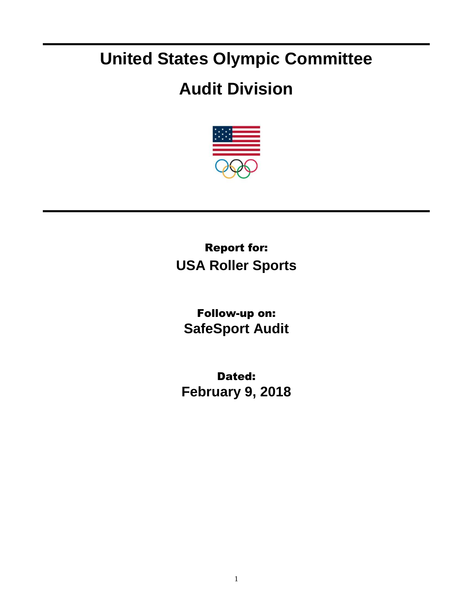## **United States Olympic Committee**

## **Audit Division**



Report for: **USA Roller Sports**

Follow-up on: **SafeSport Audit**

Dated: **February 9, 2018**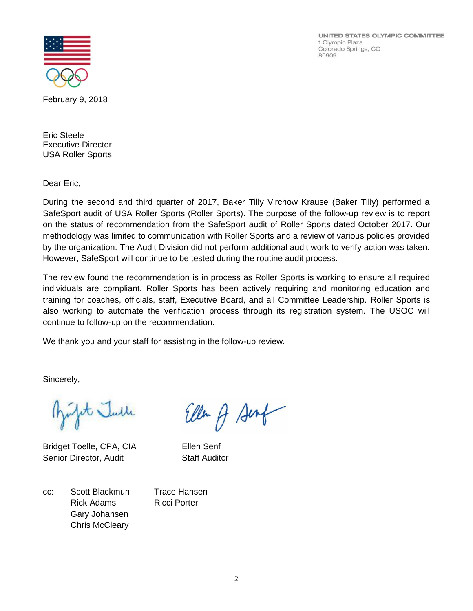UNITED STATES OLYMPIC COMMITTEE 1 Olympic Plaza Colorado Springs, CO 80909



February 9, 2018

Eric Steele Executive Director USA Roller Sports

Dear Eric,

During the second and third quarter of 2017, Baker Tilly Virchow Krause (Baker Tilly) performed a SafeSport audit of USA Roller Sports (Roller Sports). The purpose of the follow-up review is to report on the status of recommendation from the SafeSport audit of Roller Sports dated October 2017. Our methodology was limited to communication with Roller Sports and a review of various policies provided by the organization. The Audit Division did not perform additional audit work to verify action was taken. However, SafeSport will continue to be tested during the routine audit process.

The review found the recommendation is in process as Roller Sports is working to ensure all required individuals are compliant. Roller Sports has been actively requiring and monitoring education and training for coaches, officials, staff, Executive Board, and all Committee Leadership. Roller Sports is also working to automate the verification process through its registration system. The USOC will continue to follow-up on the recommendation.

We thank you and your staff for assisting in the follow-up review.

Sincerely,

it Julle

Bridget Toelle, CPA, CIA Ellen Senf Senior Director, Audit Staff Auditor

Ellen A Senf

cc: Scott Blackmun Trace Hansen Rick Adams Ricci Porter Gary Johansen Chris McCleary